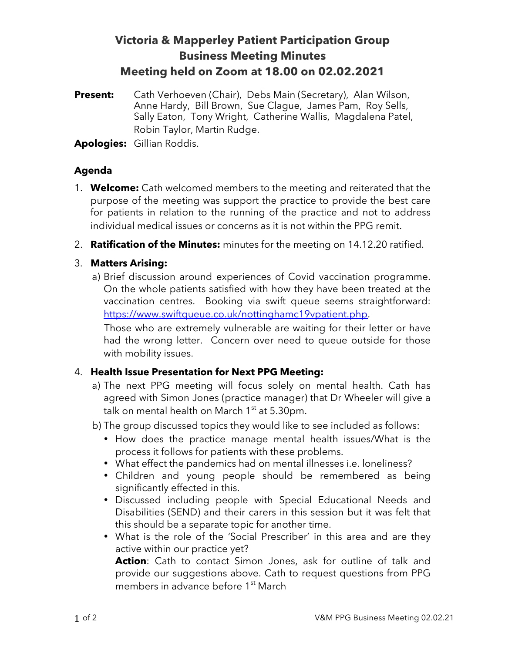# **Victoria & Mapperley Patient Participation Group Business Meeting Minutes Meeting held on Zoom at 18.00 on 02.02.2021**

**Present:** Cath Verhoeven (Chair), Debs Main (Secretary), Alan Wilson, Anne Hardy, Bill Brown, Sue Clague, James Pam, Roy Sells, Sally Eaton, Tony Wright, Catherine Wallis, Magdalena Patel, Robin Taylor, Martin Rudge.

**Apologies:** Gillian Roddis.

## **Agenda**

- 1. **Welcome:** Cath welcomed members to the meeting and reiterated that the purpose of the meeting was support the practice to provide the best care for patients in relation to the running of the practice and not to address individual medical issues or concerns as it is not within the PPG remit.
- 2. **Ratification of the Minutes:** minutes for the meeting on 14.12.20 ratified.

#### 3. **Matters Arising:**

a) Brief discussion around experiences of Covid vaccination programme. On the whole patients satisfied with how they have been treated at the vaccination centres. Booking via swift queue seems straightforward: https://www.swiftqueue.co.uk/nottinghamc19vpatient.php.

Those who are extremely vulnerable are waiting for their letter or have had the wrong letter. Concern over need to queue outside for those with mobility issues.

#### 4. **Health Issue Presentation for Next PPG Meeting:**

a) The next PPG meeting will focus solely on mental health. Cath has agreed with Simon Jones (practice manager) that Dr Wheeler will give a talk on mental health on March  $1<sup>st</sup>$  at 5.30pm.

b) The group discussed topics they would like to see included as follows:

- How does the practice manage mental health issues/What is the process it follows for patients with these problems.
- What effect the pandemics had on mental illnesses i.e. loneliness?
- Children and young people should be remembered as being significantly effected in this.
- Discussed including people with Special Educational Needs and Disabilities (SEND) and their carers in this session but it was felt that this should be a separate topic for another time.
- What is the role of the 'Social Prescriber' in this area and are they active within our practice yet?

**Action**: Cath to contact Simon Jones, ask for outline of talk and provide our suggestions above. Cath to request questions from PPG members in advance before 1<sup>st</sup> March